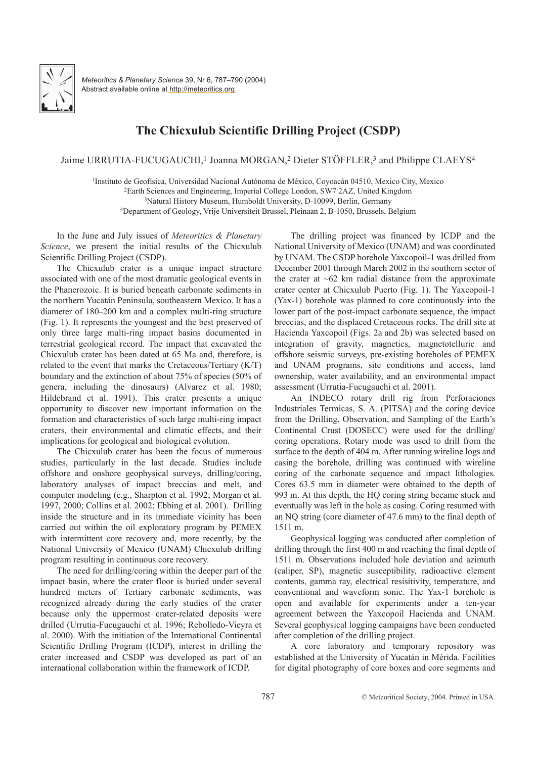

*Meteoritics & Planetary Science* 39, Nr 6, 787–790 (2004) Abstract available online at http://meteoritics.org

## **The Chicxulub Scientific Drilling Project (CSDP)**

Jaime URRUTIA-FUCUGAUCHI,<sup>1</sup> Joanna MORGAN,<sup>2</sup> Dieter STÖFFLER,<sup>3</sup> and Philippe CLAEYS<sup>4</sup>

<sup>1</sup>Instituto de Geofisica, Universidad Nacional Autónoma de México, Coyoacán 04510, Mexico City, Mexico

<sup>2</sup>Earth Sciences and Engineering, Imperial College London, SW7 2AZ, United Kingdom

<sup>3</sup>Natural History Museum, Humboldt University, D-10099, Berlin, Germany

<sup>4</sup>Department of Geology, Vrije Universiteit Brussel, Pleinaan 2, B-1050, Brussels, Belgium

In the June and July issues of *Meteoritics & Planetary Science*, we present the initial results of the Chicxulub Scientific Drilling Project (CSDP).

The Chicxulub crater is a unique impact structure associated with one of the most dramatic geological events in the Phanerozoic. It is buried beneath carbonate sediments in the northern Yucatán Peninsula, southeastern Mexico. It has a diameter of 180–200 km and a complex multi-ring structure (Fig. 1). It represents the youngest and the best preserved of only three large multi-ring impact basins documented in terrestrial geological record. The impact that excavated the Chicxulub crater has been dated at 65 Ma and, therefore, is related to the event that marks the Cretaceous/Tertiary (K/T) boundary and the extinction of about 75% of species (50% of genera, including the dinosaurs) (Alvarez et al. 1980; Hildebrand et al. 1991). This crater presents a unique opportunity to discover new important information on the formation and characteristics of such large multi-ring impact craters, their environmental and climatic effects, and their implications for geological and biological evolution.

The Chicxulub crater has been the focus of numerous studies, particularly in the last decade. Studies include offshore and onshore geophysical surveys, drilling/coring, laboratory analyses of impact breccias and melt, and computer modeling (e.g., Sharpton et al. 1992; Morgan et al. 1997, 2000; Collins et al. 2002; Ebbing et al. 2001). Drilling inside the structure and in its immediate vicinity has been carried out within the oil exploratory program by PEMEX with intermittent core recovery and, more recently, by the National University of Mexico (UNAM) Chicxulub drilling program resulting in continuous core recovery.

The need for drilling/coring within the deeper part of the impact basin, where the crater floor is buried under several hundred meters of Tertiary carbonate sediments, was recognized already during the early studies of the crater because only the uppermost crater-related deposits were drilled (Urrutia-Fucugauchi et al. 1996; Rebolledo-Vieyra et al. 2000). With the initiation of the International Continental Scientific Drilling Program (ICDP), interest in drilling the crater increased and CSDP was developed as part of an international collaboration within the framework of ICDP.

The drilling project was financed by ICDP and the National University of Mexico (UNAM) and was coordinated by UNAM. The CSDP borehole Yaxcopoil-1 was drilled from December 2001 through March 2002 in the southern sector of the crater at  $~62$  km radial distance from the approximate crater center at Chicxulub Puerto (Fig. 1). The Yaxcopoil-1 (Yax-1) borehole was planned to core continuously into the lower part of the post-impact carbonate sequence, the impact breccias, and the displaced Cretaceous rocks. The drill site at Hacienda Yaxcopoil (Figs. 2a and 2b) was selected based on integration of gravity, magnetics, magnetotelluric and offshore seismic surveys, pre-existing boreholes of PEMEX and UNAM programs, site conditions and access, land ownership, water availability, and an environmental impact assessment (Urrutia-Fucugauchi et al. 2001).

An INDECO rotary drill rig from Perforaciones Industriales Termicas, S. A. (PITSA) and the coring device from the Drilling, Observation, and Sampling of the Earth's Continental Crust (DOSECC) were used for the drilling/ coring operations. Rotary mode was used to drill from the surface to the depth of 404 m. After running wireline logs and casing the borehole, drilling was continued with wireline coring of the carbonate sequence and impact lithologies. Cores 63.5 mm in diameter were obtained to the depth of 993 m. At this depth, the HQ coring string became stuck and eventually was left in the hole as casing. Coring resumed with an NQ string (core diameter of 47.6 mm) to the final depth of 1511 m.

Geophysical logging was conducted after completion of drilling through the first 400 m and reaching the final depth of 1511 m. Observations included hole deviation and azimuth (caliper, SP), magnetic susceptibility, radioactive element contents, gamma ray, electrical resisitivity, temperature, and conventional and waveform sonic. The Yax-1 borehole is open and available for experiments under a ten-year agreement between the Yaxcopoil Hacienda and UNAM. Several geophysical logging campaigns have been conducted after completion of the drilling project.

A core laboratory and temporary repository was established at the University of Yucatán in Mérida. Facilities for digital photography of core boxes and core segments and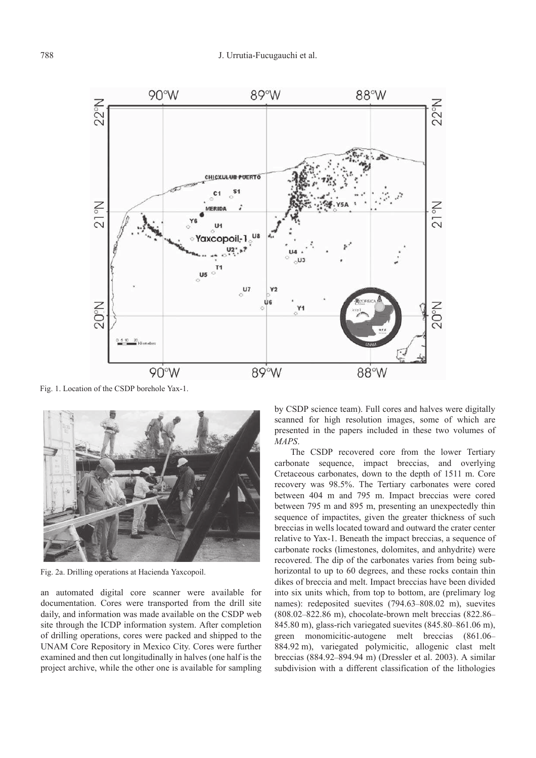

Fig. 1. Location of the CSDP borehole Yax-1.



Fig. 2a. Drilling operations at Hacienda Yaxcopoil.

an automated digital core scanner were available for documentation. Cores were transported from the drill site daily, and information was made available on the CSDP web site through the ICDP information system. After completion of drilling operations, cores were packed and shipped to the UNAM Core Repository in Mexico City. Cores were further examined and then cut longitudinally in halves (one half is the project archive, while the other one is available for sampling by CSDP science team). Full cores and halves were digitally scanned for high resolution images, some of which are presented in the papers included in these two volumes of *MAPS*.

The CSDP recovered core from the lower Tertiary carbonate sequence, impact breccias, and overlying Cretaceous carbonates, down to the depth of 1511 m. Core recovery was 98.5%. The Tertiary carbonates were cored between 404 m and 795 m. Impact breccias were cored between 795 m and 895 m, presenting an unexpectedly thin sequence of impactites, given the greater thickness of such breccias in wells located toward and outward the crater center relative to Yax-1. Beneath the impact breccias, a sequence of carbonate rocks (limestones, dolomites, and anhydrite) were recovered. The dip of the carbonates varies from being subhorizontal to up to 60 degrees, and these rocks contain thin dikes of breccia and melt. Impact breccias have been divided into six units which, from top to bottom, are (prelimary log names): redeposited suevites (794.63–808.02 m), suevites (808.02–822.86 m), chocolate-brown melt breccias (822.86– 845.80 m), glass-rich variegated suevites (845.80–861.06 m), green monomicitic-autogene melt breccias (861.06– 884.92 m), variegated polymicitic, allogenic clast melt breccias (884.92–894.94 m) (Dressler et al. 2003). A similar subdivision with a different classification of the lithologies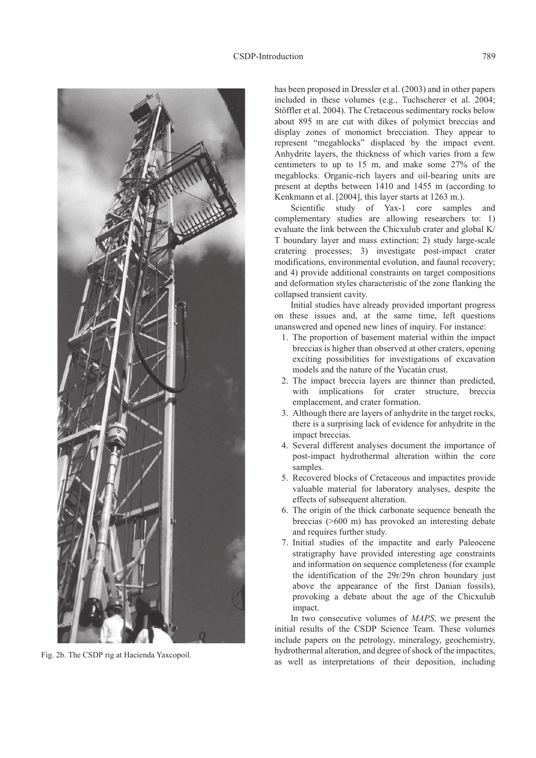

Fig. 2b. The CSDP rig at Hacienda Yaxcopoil.

has been proposed in Dressler et al. (2003) and in other papers included in these volumes (e.g., Tuchscherer et al. 2004; Stöffler et al. 2004). The Cretaceous sedimentary rocks below about 895 m are cut with dikes of polymict breccias and display zones of monomict brecciation. They appear to represent "megablocks" displaced by the impact event. Anhydrite layers, the thickness of which varies from a few centimeters to up to 15 m, and make some 27% of the megablocks. Organic-rich layers and oil-bearing units are present at depths between 1410 and 1455 m (according to Kenkmann et al. [2004], this layer starts at 1263 m.).

Scientific study of Yax-1 core samples and complementary studies are allowing researchers to: 1) evaluate the link between the Chicxulub crater and global K/ T boundary layer and mass extinction; 2) study large-scale cratering processes; 3) investigate post-impact crater modifications, environmental evolution, and faunal recovery; and 4) provide additional constraints on target compositions and deformation styles characteristic of the zone flanking the collapsed transient cavity.

Initial studies have already provided important progress on these issues and, at the same time, left questions unanswered and opened new lines of inquiry. For instance:

- 1. The proportion of basement material within the impact breccias is higher than observed at other craters, opening exciting possibilities for investigations of excavation models and the nature of the Yucatán crust.
- 2. The impact breccia layers are thinner than predicted, with implications for crater structure, breccia emplacement, and crater formation.
- 3. Although there are layers of anhydrite in the target rocks, there is a surprising lack of evidence for anhydrite in the impact breccias.
- 4. Several different analyses document the importance of post-impact hydrothermal alteration within the core samples.
- 5. Recovered blocks of Cretaceous and impactites provide valuable material for laboratory analyses, despite the effects of subsequent alteration.
- 6. The origin of the thick carbonate sequence beneath the breccias (>600 m) has provoked an interesting debate and requires further study.
- 7. Initial studies of the impactite and early Paleocene stratigraphy have provided interesting age constraints and information on sequence completeness (for example the identification of the 29r/29n chron boundary just above the appearance of the first Danian fossils), provoking a debate about the age of the Chicxulub impact.

In two consecutive volumes of *MAPS*, we present the initial results of the CSDP Science Team. These volumes include papers on the petrology, mineralogy, geochemistry, hydrothermal alteration, and degree of shock of the impactites, as well as interpretations of their deposition, including